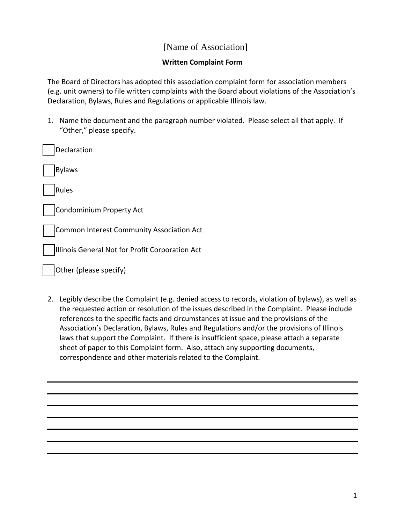## [Name of Association]

## **Written Complaint Form**

The Board of Directors has adopted this association complaint form for association members (e.g. unit owners) to file written complaints with the Board about violations of the Association's Declaration, Bylaws, Rules and Regulations or applicable Illinois law.

1. Name the document and the paragraph number violated. Please select all that apply. If "Other," please specify.

| Declaration                                     |
|-------------------------------------------------|
| <b>Bylaws</b>                                   |
| Rules                                           |
| Condominium Property Act                        |
| Common Interest Community Association Act       |
| Illinois General Not for Profit Corporation Act |

Other (please specify)

2. Legibly describe the Complaint (e.g. denied access to records, violation of bylaws), as well as the requested action or resolution of the issues described in the Complaint. Please include references to the specific facts and circumstances at issue and the provisions of the Association's Declaration, Bylaws, Rules and Regulations and/or the provisions of Illinois laws that support the Complaint. If there is insufficient space, please attach a separate sheet of paper to this Complaint form. Also, attach any supporting documents, correspondence and other materials related to the Complaint.